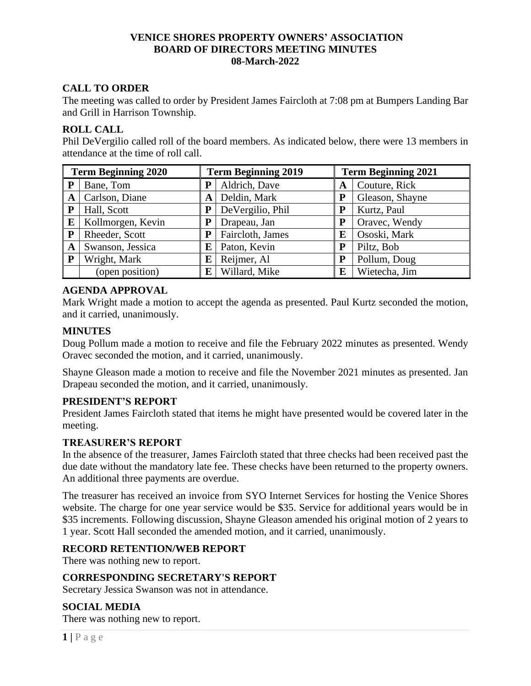### **VENICE SHORES PROPERTY OWNERS' ASSOCIATION BOARD OF DIRECTORS MEETING MINUTES 08-March-2022**

# **CALL TO ORDER**

The meeting was called to order by President James Faircloth at 7:08 pm at Bumpers Landing Bar and Grill in Harrison Township.

### **ROLL CALL**

Phil DeVergilio called roll of the board members. As indicated below, there were 13 members in attendance at the time of roll call.

| <b>Term Beginning 2020</b> |                   | <b>Term Beginning 2019</b> |                  | <b>Term Beginning 2021</b> |                 |
|----------------------------|-------------------|----------------------------|------------------|----------------------------|-----------------|
| P                          | Bane, Tom         | P                          | Aldrich, Dave    | A                          | Couture, Rick   |
| A                          | Carlson, Diane    | A                          | Deldin, Mark     | P                          | Gleason, Shayne |
| P                          | Hall, Scott       |                            | DeVergilio, Phil | P                          | Kurtz, Paul     |
| E                          | Kollmorgen, Kevin |                            | Drapeau, Jan     | P                          | Oravec, Wendy   |
| ${\bf P}$                  | Rheeder, Scott    | P                          | Faircloth, James | E                          | Ososki, Mark    |
| A                          | Swanson, Jessica  | E                          | Paton, Kevin     | P                          | Piltz, Bob      |
| ${\bf P}$                  | Wright, Mark      | E                          | Reijmer, Al      | P                          | Pollum, Doug    |
|                            | (open position)   | E                          | Willard, Mike    | E                          | Wietecha, Jim   |

### **AGENDA APPROVAL**

Mark Wright made a motion to accept the agenda as presented. Paul Kurtz seconded the motion, and it carried, unanimously.

### **MINUTES**

Doug Pollum made a motion to receive and file the February 2022 minutes as presented. Wendy Oravec seconded the motion, and it carried, unanimously.

Shayne Gleason made a motion to receive and file the November 2021 minutes as presented. Jan Drapeau seconded the motion, and it carried, unanimously.

### **PRESIDENT'S REPORT**

President James Faircloth stated that items he might have presented would be covered later in the meeting.

### **TREASURER'S REPORT**

In the absence of the treasurer, James Faircloth stated that three checks had been received past the due date without the mandatory late fee. These checks have been returned to the property owners. An additional three payments are overdue.

The treasurer has received an invoice from SYO Internet Services for hosting the Venice Shores website. The charge for one year service would be \$35. Service for additional years would be in \$35 increments. Following discussion, Shayne Gleason amended his original motion of 2 years to 1 year. Scott Hall seconded the amended motion, and it carried, unanimously.

## **RECORD RETENTION/WEB REPORT**

There was nothing new to report.

### **CORRESPONDING SECRETARY'S REPORT**

Secretary Jessica Swanson was not in attendance.

## **SOCIAL MEDIA**

There was nothing new to report.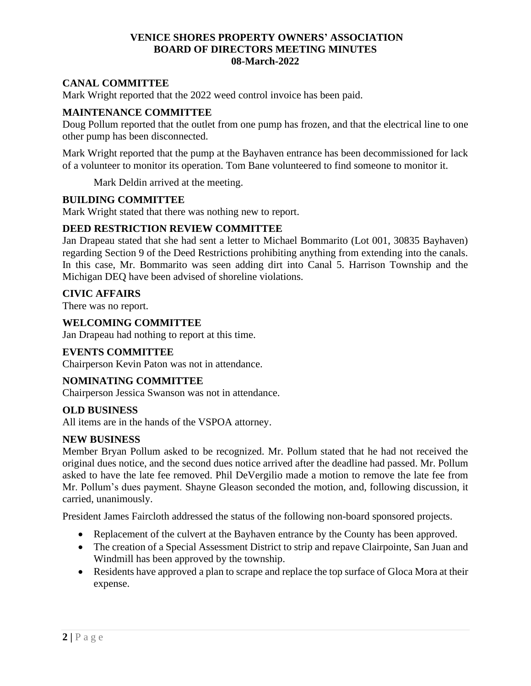### **VENICE SHORES PROPERTY OWNERS' ASSOCIATION BOARD OF DIRECTORS MEETING MINUTES 08-March-2022**

## **CANAL COMMITTEE**

Mark Wright reported that the 2022 weed control invoice has been paid.

### **MAINTENANCE COMMITTEE**

Doug Pollum reported that the outlet from one pump has frozen, and that the electrical line to one other pump has been disconnected.

Mark Wright reported that the pump at the Bayhaven entrance has been decommissioned for lack of a volunteer to monitor its operation. Tom Bane volunteered to find someone to monitor it.

Mark Deldin arrived at the meeting.

### **BUILDING COMMITTEE**

Mark Wright stated that there was nothing new to report.

### **DEED RESTRICTION REVIEW COMMITTEE**

Jan Drapeau stated that she had sent a letter to Michael Bommarito (Lot 001, 30835 Bayhaven) regarding Section 9 of the Deed Restrictions prohibiting anything from extending into the canals. In this case, Mr. Bommarito was seen adding dirt into Canal 5. Harrison Township and the Michigan DEQ have been advised of shoreline violations.

### **CIVIC AFFAIRS**

There was no report.

### **WELCOMING COMMITTEE**

Jan Drapeau had nothing to report at this time.

### **EVENTS COMMITTEE**

Chairperson Kevin Paton was not in attendance.

### **NOMINATING COMMITTEE**

Chairperson Jessica Swanson was not in attendance.

### **OLD BUSINESS**

All items are in the hands of the VSPOA attorney.

### **NEW BUSINESS**

Member Bryan Pollum asked to be recognized. Mr. Pollum stated that he had not received the original dues notice, and the second dues notice arrived after the deadline had passed. Mr. Pollum asked to have the late fee removed. Phil DeVergilio made a motion to remove the late fee from Mr. Pollum's dues payment. Shayne Gleason seconded the motion, and, following discussion, it carried, unanimously.

President James Faircloth addressed the status of the following non-board sponsored projects.

- Replacement of the culvert at the Bayhaven entrance by the County has been approved.
- The creation of a Special Assessment District to strip and repave Clairpointe, San Juan and Windmill has been approved by the township.
- Residents have approved a plan to scrape and replace the top surface of Gloca Mora at their expense.